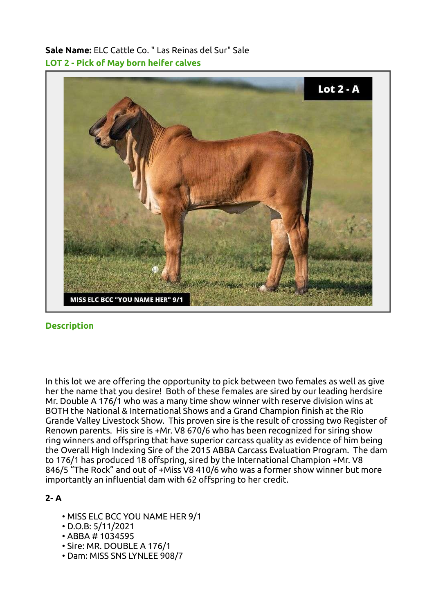Sale Name: ELC Cattle Co. " Las Reinas del Sur" Sale LOT 2 - Pick of May born heifer calves



## **Description**

In this lot we are offering the opportunity to pick between two females as well as give her the name that you desire! Both of these females are sired by our leading herdsire Mr. Double A 176/1 who was a many time show winner with reserve division wins at BOTH the National & International Shows and a Grand Champion finish at the Rio Grande Valley Livestock Show. This proven sire is the result of crossing two Register of Renown parents. His sire is +Mr. V8 670/6 who has been recognized for siring show ring winners and offspring that have superior carcass quality as evidence of him being the Overall High Indexing Sire of the 2015 ABBA Carcass Evaluation Program. The dam to 176/1 has produced 18 offspring, sired by the International Champion +Mr. V8 846/5 "The Rock" and out of +Miss V8 410/6 who was a former show winner but more importantly an influential dam with 62 offspring to her credit.

# 2- A

- MISS ELC BCC YOU NAME HER 9/1
- D.O.B: 5/11/2021 •
- ABBA # 1034595
- Sire: MR. DOUBLE A 176/1 •
- Dam: MISS SNS LYNLEE 908/7